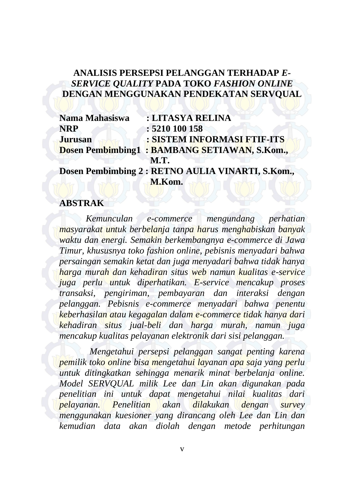## **ANALISIS PERSEPSI PELANGGAN TERHADAP** *E-SERVICE QUALITY* **PADA TOKO** *FASHION ONLINE* **DENGAN MENGGUNAKAN PENDEKATAN SERVQUAL**

| Nama Mahasiswa | : LITASYA RELINA                                    |
|----------------|-----------------------------------------------------|
| NRP            | : 5210 100 158                                      |
| <b>Jurusan</b> | : SISTEM INFORMASI FTIF-ITS                         |
|                | <b>Dosen Pembimbing1: BAMBANG SETIAWAN, S.Kom.,</b> |
|                | <b>M.T.</b>                                         |

**Dosen Pembimbing 2 : RETNO AULIA VINARTI, S.Kom., M.Kom.**

## **ABSTRAK**

*Kemunculan e-commerce mengundang perhatian masyarakat untuk berbelanja tanpa harus menghabiskan banyak waktu dan energi. Semakin berkembangnya e-commerce di Jawa Timur, khususnya toko fashion online, pebisnis menyadari bahwa persaingan semakin ketat dan juga menyadari bahwa tidak hanya harga murah dan kehadiran situs web namun kualitas e-service juga perlu untuk diperhatikan. E-service mencakup proses transaksi, pengiriman, pembayaran dan interaksi dengan pelanggan. Pebisnis e-commerce menyadari bahwa penentu keberhasilan atau kegagalan dalam e-commerce tidak hanya dari kehadiran situs jual-beli dan harga murah, namun juga mencakup kualitas pelayanan elektronik dari sisi pelanggan.*

*Mengetahui persepsi pelanggan sangat penting karena pemilik toko online bisa mengetahui layanan apa saja yang perlu untuk ditingkatkan sehingga menarik minat berbelanja online. Model SERVQUAL milik Lee dan Lin akan digunakan pada penelitian ini untuk dapat mengetahui nilai kualitas dari pelayanan. Penelitian akan dilakukan dengan survey menggunakan kuesioner yang dirancang oleh Lee dan Lin dan kemudian data akan diolah dengan metode perhitungan*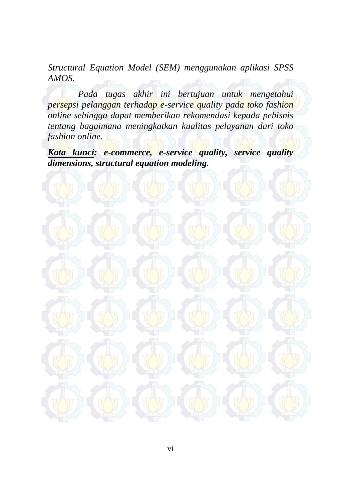*Structural Equation Model (SEM) menggunakan aplikasi SPSS AMOS.* 

*Pada tugas akhir ini bertujuan untuk mengetahui persepsi pelanggan terhadap e-service quality pada toko fashion online sehingga dapat memberikan rekomendasi kepada pebisnis tentang bagaimana meningkatkan kualitas pelayanan dari toko fashion online.* 

*Kata kunci: e-commerce, e-service quality, service quality dimensions, structural equation modeling.*

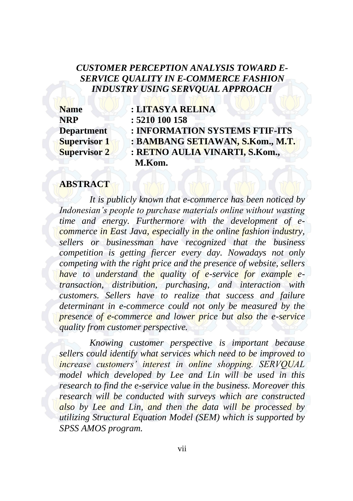## *CUSTOMER PERCEPTION ANALYSIS TOWARD E-SERVICE QUALITY IN E-COMMERCE FASHION INDUSTRY USING SERVQUAL APPROACH*

| <b>Name</b>         | : LITASYA RELINA                 |
|---------------------|----------------------------------|
| NRP                 | : 5210 100 158                   |
| <b>Department</b>   | : INFORMATION SYSTEMS FTIF-ITS   |
| <b>Supervisor 1</b> | : BAMBANG SETIAWAN, S.Kom., M.T. |
| <b>Supervisor 2</b> | : RETNO AULIA VINARTI, S.Kom.,   |
|                     | M.Kom.                           |

## **ABSTRACT**

*It is publicly known that e-commerce has been noticed by Indonesian's people to purchase materials online without wasting time and energy. Furthermore with the development of ecommerce in East Java, especially in the online fashion industry, sellers or businessman have recognized that the business competition is getting fiercer every day. Nowadays not only competing with the right price and the presence of website, sellers have to understand the quality of e-service for example etransaction, distribution, purchasing, and interaction with customers. Sellers have to realize that success and failure determinant in e-commerce could not only be measured by the presence of e-commerce and lower price but also the e-service quality from customer perspective.* 

*Knowing customer perspective is important because sellers could identify what services which need to be improved to increase customers' interest in online shopping. SERVQUAL model which developed by Lee and Lin will be used in this research to find the e-service value in the business. Moreover this research will be conducted with surveys which are constructed also by Lee and Lin, and then the data will be processed by utilizing Structural Equation Model (SEM) which is supported by SPSS AMOS program.*